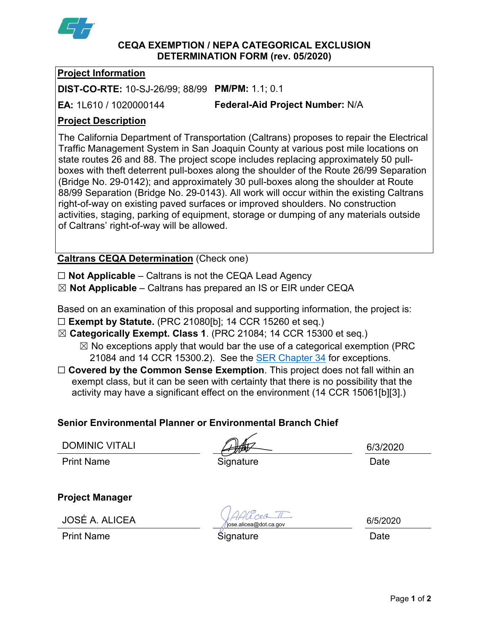

### **CEQA EXEMPTION / NEPA CATEGORICAL EXCLUSION DETERMINATION FORM (rev. 05/2020)**

### **Project Information**

**DIST-CO-RTE:** 10-SJ-26/99; 88/99 **PM/PM:** 1.1; 0.1

**EA:** 1L610 / 1020000144

**Federal-Aid Project Number:** N/A

# **Project Description**

The California Department of Transportation (Caltrans) proposes to repair the Electrical Traffic Management System in San Joaquin County at various post mile locations on state routes 26 and 88. The project scope includes replacing approximately 50 pullboxes with theft deterrent pull-boxes along the shoulder of the Route 26/99 Separation (Bridge No. 29-0142); and approximately 30 pull-boxes along the shoulder at Route 88/99 Separation (Bridge No. 29-0143). All work will occur within the existing Caltrans right-of-way on existing paved surfaces or improved shoulders. No construction activities, staging, parking of equipment, storage or dumping of any materials outside of Caltrans' right-of-way will be allowed.

**Caltrans CEQA Determination** (Check one)

☐ **Not Applicable** – Caltrans is not the CEQA Lead Agency

☒ **Not Applicable** – Caltrans has prepared an IS or EIR under CEQA

Based on an examination of this proposal and supporting information, the project is:

- ☐ **Exempt by Statute.** (PRC 21080[b]; 14 CCR 15260 et seq.)
- ☒ **Categorically Exempt. Class 1**. (PRC 21084; 14 CCR 15300 et seq.)
	- $\boxtimes$  No exceptions apply that would bar the use of a categorical exemption (PRC 21084 and 14 CCR 15300.2). See the [SER Chapter 34](https://dot.ca.gov/programs/environmental-analysis/standard-environmental-reference-ser/volume-1-guidance-for-compliance/ch-34-exemptions-to-ceqa#except) for exceptions.
- □ **Covered by the Common Sense Exemption**. This project does not fall within an exempt class, but it can be seen with certainty that there is no possibility that the activity may have a significant effect on the environment (14 CCR 15061[b][3].)

## **Senior Environmental Planner or Environmental Branch Chief**

DOMINIC VITALI Print Name **Signature Construction Construction** Date

**Project Manager**

JOSÉ A. ALICEA

Print Name Date **Signature Construction** Signature Date

6/5/2020

6/3/2020